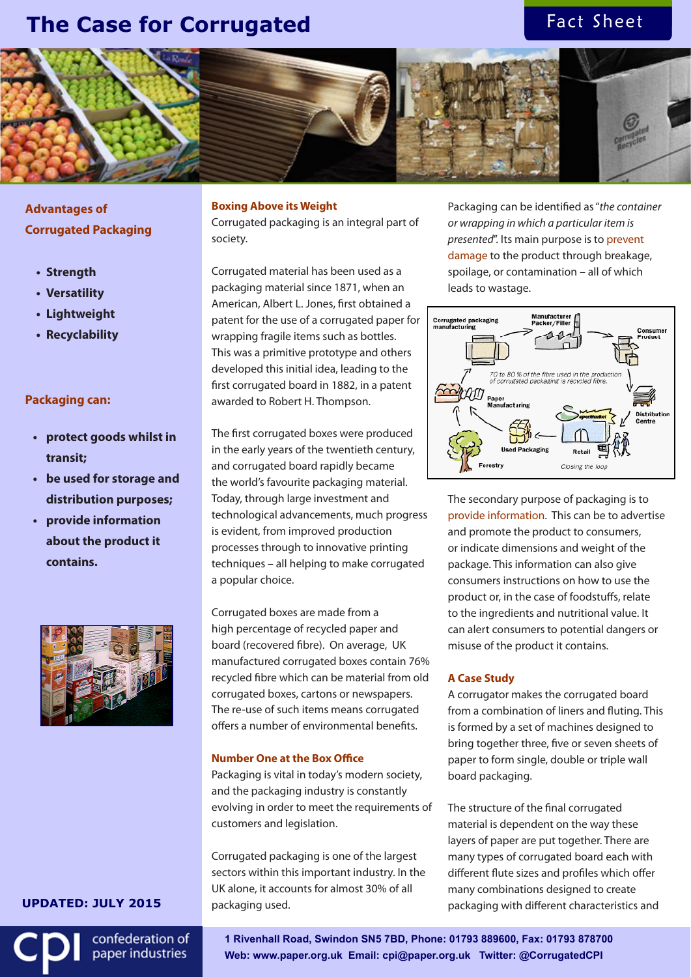# **The Case for Corrugated**

# Fact Sheet



**Advantages of Corrugated Packaging**

- **• Strength**
- **• Versatility**
- **• Lightweight**
- **• Recyclability**

## **Packaging can:**

- **• protect goods whilst in transit;**
- **• be used for storage and distribution purposes;**
- **• provide information about the product it contains.**



# **Boxing Above its Weight**

Corrugated packaging is an integral part of society.

Corrugated material has been used as a packaging material since 1871, when an American, Albert L. Jones, first obtained a patent for the use of a corrugated paper for wrapping fragile items such as bottles. This was a primitive prototype and others developed this initial idea, leading to the first corrugated board in 1882, in a patent awarded to Robert H. Thompson.

The first corrugated boxes were produced in the early years of the twentieth century, and corrugated board rapidly became the world's favourite packaging material. Today, through large investment and technological advancements, much progress is evident, from improved production processes through to innovative printing techniques – all helping to make corrugated a popular choice.

Corrugated boxes are made from a high percentage of recycled paper and board (recovered fibre). On average, UK manufactured corrugated boxes contain 76% recycled fibre which can be material from old **• corrugated boxes, cartons or newspapers.** The re-use of such items means corrugated offers a number of environmental benefits. • **protect** goods whilst in **distribution purpose** contains.

### **Number One at the Box Office**

Packaging is vital in today's modern society, and the packaging industry is constantly evolving in order to meet the requirements of customers and legislation.

Corrugated packaging is one of the largest sectors within this important industry. In the UK alone, it accounts for almost 30% of all packaging used.

Packaging can be identified as "*the container or wrapping in which a particular item is presented*". Its main purpose is to prevent damage to the product through breakage, spoilage, or contamination – all of which leads to wastage.



The secondary purpose of packaging is to provide information. This can be to advertise and promote the product to consumers, or indicate dimensions and weight of the package. This information can also give consumers instructions on how to use the product or, in the case of foodstuffs, relate to the ingredients and nutritional value. It can alert consumers to potential dangers or misuse of the product it contains.

## **A Case Study**

A corrugator makes the corrugated board from a combination of liners and fluting. This is formed by a set of machines designed to bring together three, five or seven sheets of paper to form single, double or triple wall board packaging.

The structure of the final corrugated material is dependent on the way these layers of paper are put together. There are many types of corrugated board each with different flute sizes and profiles which offer many combinations designed to create packaging with different characteristics and

## **UPDATED: JULY 2015**

confederation of paper industries

**1 Rivenhall Road, Swindon SN5 7BD, Phone: 01793 889600, Fax: 01793 878700 Web: www.paper.org.uk Email: cpi@paper.org.uk Twitter: @CorrugatedCPI**